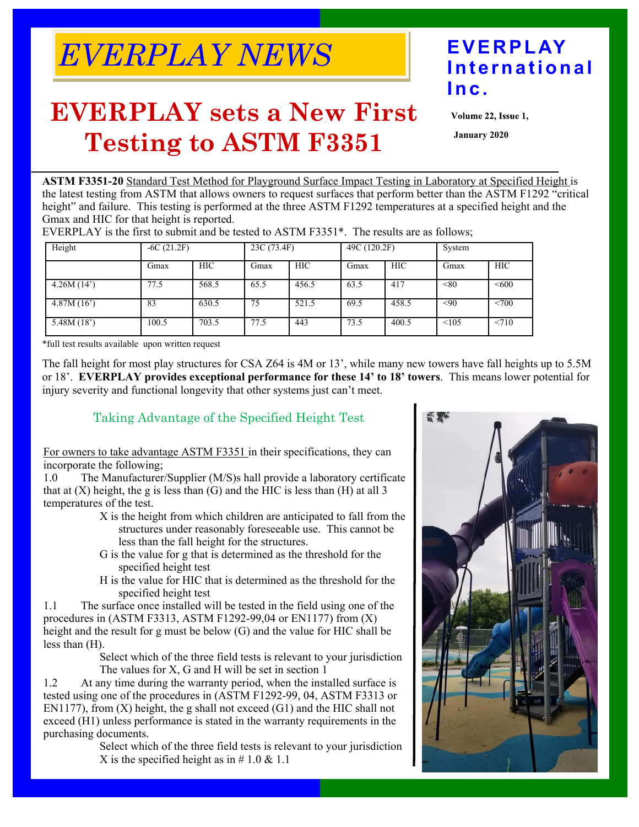# *EVERPLAY NEWS* **EVERPLAY**

## **EVERPLAY sets a New First Testing to ASTM F3351**

## **International Inc.**

Volume 22, Issue 1,

**January 2020** 

**ASTM F3351-20** Standard Test Method for Playground Surface Impact Testing in Laboratory at Specified Height is the latest testing from ASTM that allows owners to request surfaces that perform better than the ASTM F1292 "critical height" and failure. This testing is performed at the three ASTM F1292 temperatures at a specified height and the Gmax and HIC for that height is reported.

| Height     |       | $-6C(21.2F)$ |      | 23C (73.4F) |      | 49C (120.2F) |       | System     |  |
|------------|-------|--------------|------|-------------|------|--------------|-------|------------|--|
|            | Gmax  | HIC          | Gmax | <b>HIC</b>  | Gmax | <b>HIC</b>   | Gmax  | <b>HIC</b> |  |
| 4.26M(14)  | 77.5  | 568.5        | 65.5 | 456.5       | 63.5 | 417          | < 80  | < 600      |  |
| 4.87M(16') | 83    | 630.5        | 75   | 521.5       | 69.5 | 458.5        | $90$  | <700       |  |
| 5.48M(18') | 100.5 | 703.5        | 77.5 | 443         | 73.5 | 400.5        | < 105 | < 710      |  |

EVERPLAY is the first to submit and be tested to ASTM F3351\*. The results are as follows;

\*full test results available upon written request

The fall height for most play structures for CSA Z64 is 4M or 13', while many new towers have fall heights up to 5.5M or 18'. **EVERPLAY provides exceptional performance for these 14' to 18' towers**. This means lower potential for injury severity and functional longevity that other systems just can't meet.

#### Taking Advantage of the Specified Height Test

For owners to take advantage ASTM F3351 in their specifications, they can incorporate the following;

1.0 The Manufacturer/Supplier (M/S)s hall provide a laboratory certificate that at  $(X)$  height, the g is less than  $(G)$  and the HIC is less than  $(H)$  at all 3 temperatures of the test.

- X is the height from which children are anticipated to fall from the structures under reasonably foreseeable use. This cannot be less than the fall height for the structures.
- G is the value for g that is determined as the threshold for the specified height test
- H is the value for HIC that is determined as the threshold for the specified height test

1.1 The surface once installed will be tested in the field using one of the procedures in (ASTM F3313, ASTM F1292-99,04 or EN1177) from (X) height and the result for g must be below (G) and the value for HIC shall be less than (H).

Select which of the three field tests is relevant to your jurisdiction The values for X, G and H will be set in section 1

1.2 At any time during the warranty period, when the installed surface is tested using one of the procedures in (ASTM F1292-99, 04, ASTM F3313 or EN1177), from (X) height, the g shall not exceed (G1) and the HIC shall not exceed (H1) unless performance is stated in the warranty requirements in the purchasing documents.

Select which of the three field tests is relevant to your jurisdiction X is the specified height as in  $\# 1.0 \& 1.1$